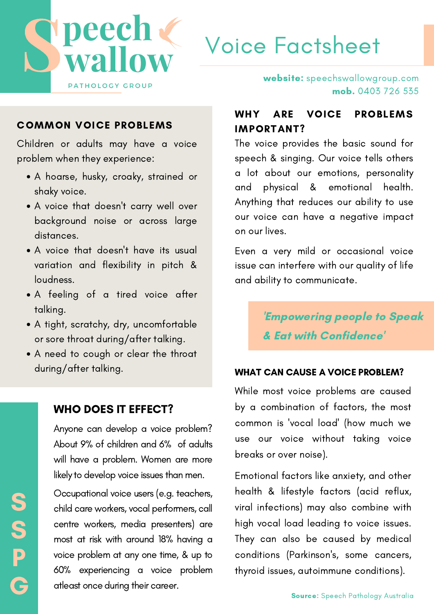

## Voice Factsheet

#### COMMON VOICE PROBLEMS

Children or adults may have a voice problem when they experience:

- A hoarse, husky, croaky, strained or shaky voice.
- A voice that doesn't carry well over background noise or across large distances.
- A voice that doesn't have its usual variation and flexibility in pitch & loudness.
- A feeling of a tired voice after talking.
- A tight, scratchy, dry, uncomfortable or sore throat during/after talking.
- A need to cough or clear the throat during/after talking.

#### WHO DOES IT EFFECT?

S

S

P

G

Anyone can develop a voice problem? About 9% of children and 6% of adults will have a problem. Women are more likely to develop voice issues than men.

Occupational voice users (e.g. teachers, child care workers, vocal performers, call centre workers, media presenters) are most at risk with around 18% having a voice problem at any one time, & up to 60% experiencing a voice problem atleast once during their career.

website: speechswallowgroup.com mob. 0403 726 535

#### WHY ARE VOICE PROBLEMS IMPORTANT?

The voice provides the basic sound for speech & singing. Our voice tells others a lot about our emotions, personality and physical & emotional health. Anything that reduces our ability to use our voice can have a negative impact on our lives.

Even a very mild or occasional voice issue can interfere with our quality of life and ability to communicate.

> 'Empowering people to Speak & Eat with Confidence'

#### WHAT CAN CAUSE A VOICE PROBLEM?

While most voice problems are caused by a combination of factors, the most common is 'vocal load' (how much we use our voice without taking voice breaks or over noise).

Emotional factors like anxiety, and other health & lifestyle factors (acid reflux, viral infections) may also combine with high vocal load leading to voice issues. They can also be caused by medical conditions (Parkinson's, some cancers, thyroid issues, autoimmune conditions).